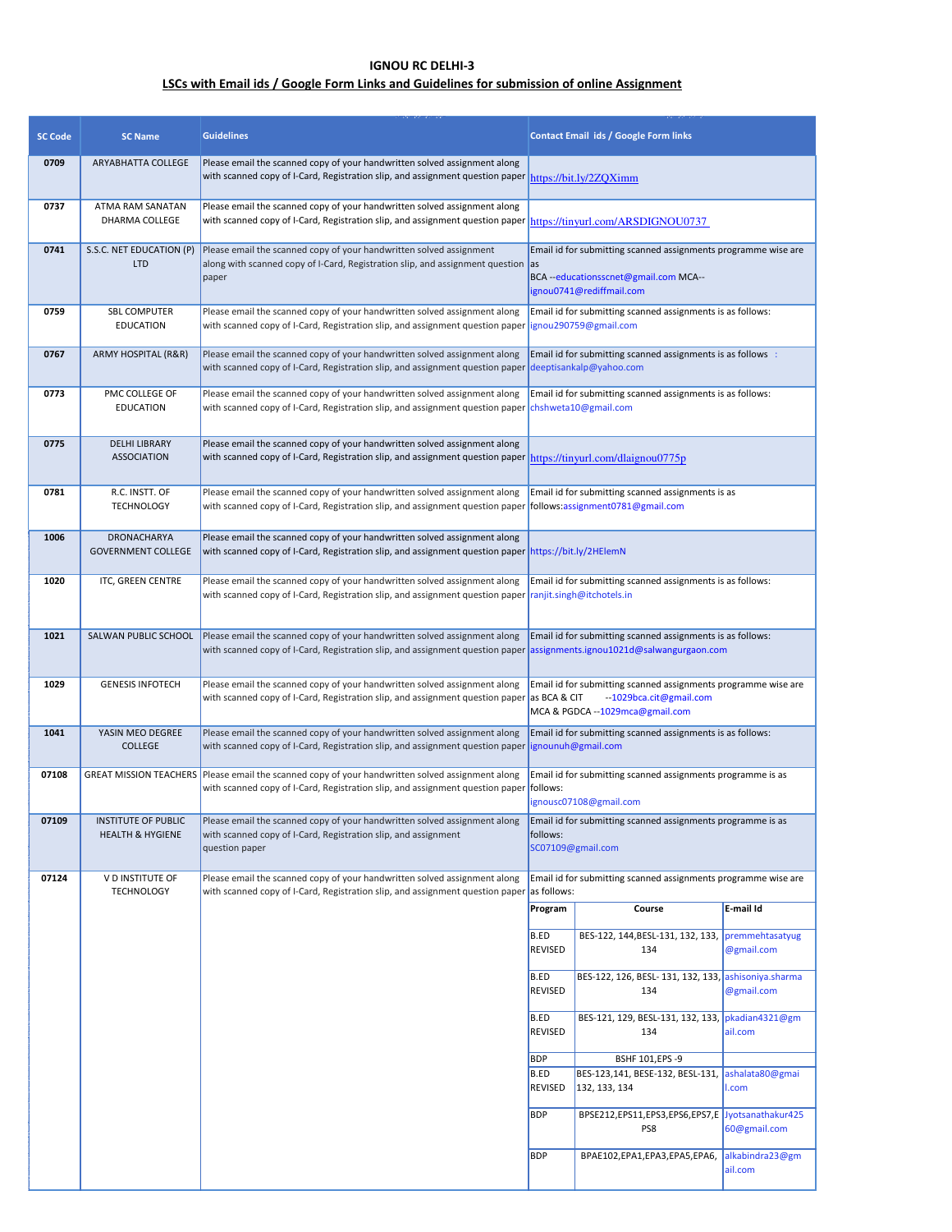## **IGNOU RC DELHI-3**

## **LSCs with Email ids / Google Form Links and Guidelines for submission of online Assignment**

| <b>SC Code</b> | <b>SC Name</b>                                            | <b>Guidelines</b>                                                                                                                                                                            | <b>Contact Email ids / Google Form links</b>                                                                                               |                                                                                                                                              |                               |  |
|----------------|-----------------------------------------------------------|----------------------------------------------------------------------------------------------------------------------------------------------------------------------------------------------|--------------------------------------------------------------------------------------------------------------------------------------------|----------------------------------------------------------------------------------------------------------------------------------------------|-------------------------------|--|
| 0709           | ARYABHATTA COLLEGE                                        | Please email the scanned copy of your handwritten solved assignment along<br>with scanned copy of I-Card, Registration slip, and assignment question paper https://bit.ly/2ZQXimm            |                                                                                                                                            |                                                                                                                                              |                               |  |
| 0737           | ATMA RAM SANATAN<br>DHARMA COLLEGE                        | Please email the scanned copy of your handwritten solved assignment along<br>with scanned copy of I-Card, Registration slip, and assignment question paper https://tinyurl.com/ARSDIGNOU0737 |                                                                                                                                            |                                                                                                                                              |                               |  |
| 0741           | S.S.C. NET EDUCATION (P)<br><b>LTD</b>                    | Please email the scanned copy of your handwritten solved assignment<br>along with scanned copy of I-Card, Registration slip, and assignment question<br>paper                                | Email id for submitting scanned assignments programme wise are<br>las<br>BCA --educationsscnet@gmail.com MCA--<br>ignou0741@rediffmail.com |                                                                                                                                              |                               |  |
| 0759           | <b>SBL COMPUTER</b><br><b>EDUCATION</b>                   | Please email the scanned copy of your handwritten solved assignment along<br>with scanned copy of I-Card, Registration slip, and assignment question paper                                   | Email id for submitting scanned assignments is as follows:<br>ignou290759@gmail.com                                                        |                                                                                                                                              |                               |  |
| 0767           | ARMY HOSPITAL (R&R)                                       | Please email the scanned copy of your handwritten solved assignment along<br>with scanned copy of I-Card, Registration slip, and assignment question paper deeptisankalp@yahoo.com           | Email id for submitting scanned assignments is as follows:                                                                                 |                                                                                                                                              |                               |  |
| 0773           | PMC COLLEGE OF<br><b>EDUCATION</b>                        | Please email the scanned copy of your handwritten solved assignment along<br>with scanned copy of I-Card, Registration slip, and assignment question paper                                   | Email id for submitting scanned assignments is as follows:<br>chshweta10@gmail.com                                                         |                                                                                                                                              |                               |  |
| 0775           | <b>DELHI LIBRARY</b><br><b>ASSOCIATION</b>                | Please email the scanned copy of your handwritten solved assignment along<br>with scanned copy of I-Card, Registration slip, and assignment question paper https://tinyurl.com/dlaignou0775p |                                                                                                                                            |                                                                                                                                              |                               |  |
| 0781           | R.C. INSTT. OF<br><b>TECHNOLOGY</b>                       | Please email the scanned copy of your handwritten solved assignment along<br>with scanned copy of I-Card, Registration slip, and assignment question paper  follows:assignment0781@gmail.com | Email id for submitting scanned assignments is as                                                                                          |                                                                                                                                              |                               |  |
| 1006           | <b>DRONACHARYA</b><br><b>GOVERNMENT COLLEGE</b>           | Please email the scanned copy of your handwritten solved assignment along<br>with scanned copy of I-Card, Registration slip, and assignment question paper  https://bit.ly/2HElemN           |                                                                                                                                            |                                                                                                                                              |                               |  |
| 1020           | ITC, GREEN CENTRE                                         | Please email the scanned copy of your handwritten solved assignment along<br>with scanned copy of I-Card, Registration slip, and assignment question paper                                   | Email id for submitting scanned assignments is as follows:<br>ranjit.singh@itchotels.in                                                    |                                                                                                                                              |                               |  |
| 1021           | SALWAN PUBLIC SCHOOL                                      | Please email the scanned copy of your handwritten solved assignment along<br>with scanned copy of I-Card, Registration slip, and assignment question paper                                   | Email id for submitting scanned assignments is as follows:<br>assignments.ignou1021d@salwangurgaon.com                                     |                                                                                                                                              |                               |  |
| 1029           | <b>GENESIS INFOTECH</b>                                   | Please email the scanned copy of your handwritten solved assignment along<br>with scanned copy of I-Card, Registration slip, and assignment question paper                                   |                                                                                                                                            | Email id for submitting scanned assignments programme wise are<br>--1029bca.cit@gmail.com<br>as BCA & CIT<br>MCA & PGDCA --1029mca@gmail.com |                               |  |
| 1041           | YASIN MEO DEGREE<br><b>COLLEGE</b>                        | Please email the scanned copy of your handwritten solved assignment along<br>with scanned copy of I-Card, Registration slip, and assignment question paper                                   | Email id for submitting scanned assignments is as follows:<br>ignounuh@gmail.com                                                           |                                                                                                                                              |                               |  |
| 07108          | <b>GREAT MISSION TEACHERS</b>                             | Please email the scanned copy of your handwritten solved assignment along<br>with scanned copy of I-Card, Registration slip, and assignment question paper                                   | Email id for submitting scanned assignments programme is as<br>follows:<br>ignousc07108@gmail.com                                          |                                                                                                                                              |                               |  |
| 07109          | <b>INSTITUTE OF PUBLIC</b><br><b>HEALTH &amp; HYGIENE</b> | Please email the scanned copy of your handwritten solved assignment along<br>with scanned copy of I-Card, Registration slip, and assignment<br>question paper                                | Email id for submitting scanned assignments programme is as<br>follows:<br>SC07109@gmail.com                                               |                                                                                                                                              |                               |  |
| 07124          | V D INSTITUTE OF<br><b>TECHNOLOGY</b>                     | Please email the scanned copy of your handwritten solved assignment along<br>with scanned copy of I-Card, Registration slip, and assignment question paper                                   | Email id for submitting scanned assignments programme wise are<br>as follows:                                                              |                                                                                                                                              |                               |  |
|                |                                                           |                                                                                                                                                                                              | Program                                                                                                                                    | Course                                                                                                                                       | E-mail Id                     |  |
|                |                                                           |                                                                                                                                                                                              | <b>B.ED</b><br><b>REVISED</b>                                                                                                              | BES-122, 144, BESL-131, 132, 133,<br>134                                                                                                     | premmehtasatyug<br>@gmail.com |  |
|                |                                                           |                                                                                                                                                                                              | <b>B.ED</b><br><b>REVISED</b>                                                                                                              | BES-122, 126, BESL-131, 132, 133, ashisoniya.sharma<br>134                                                                                   | @gmail.com                    |  |
|                |                                                           |                                                                                                                                                                                              | B.ED<br><b>REVISED</b>                                                                                                                     | BES-121, 129, BESL-131, 132, 133, pkadian4321@gm<br>134                                                                                      | ail.com                       |  |
|                |                                                           |                                                                                                                                                                                              | <b>BDP</b><br>BSHF 101, EPS -9<br><b>B.ED</b><br>BES-123,141, BESE-132, BESL-131,<br><b>REVISED</b><br>132, 133, 134<br>l.com              |                                                                                                                                              | ashalata80@gmai               |  |
|                |                                                           |                                                                                                                                                                                              | <b>BDP</b>                                                                                                                                 | BPSE212,EPS11,EPS3,EPS6,EPS7,E                                                                                                               | Jyotsanathakur425             |  |
|                |                                                           |                                                                                                                                                                                              |                                                                                                                                            | PS8                                                                                                                                          | 60@gmail.com                  |  |
|                |                                                           |                                                                                                                                                                                              | <b>BDP</b>                                                                                                                                 | BPAE102,EPA1,EPA3,EPA5,EPA6,                                                                                                                 | alkabindra23@gm<br>ail.com    |  |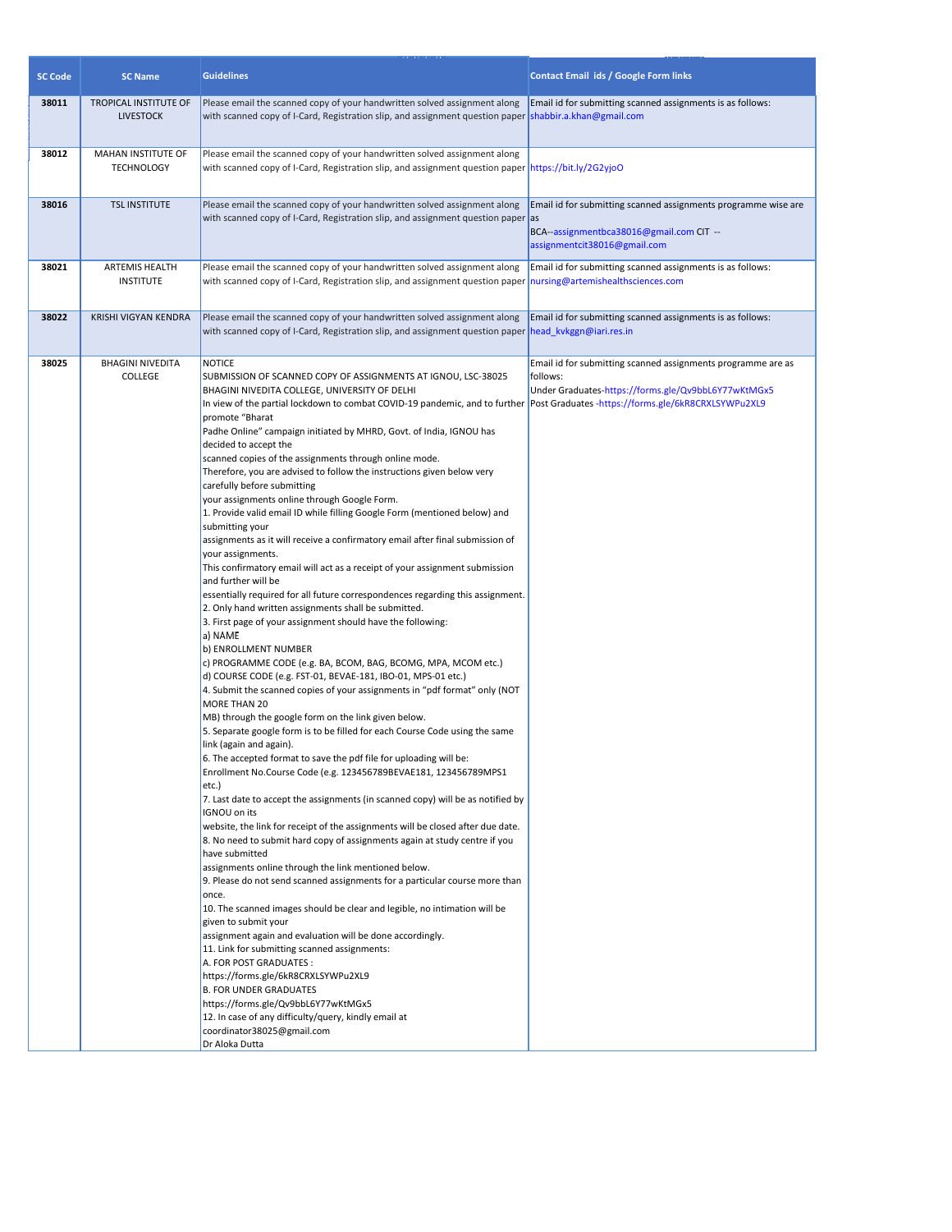| <b>SC Code</b> | <b>SC Name</b>                            | <b>Guidelines</b>                                                                                                                                                                                                                                                                                                                                                                                                                                                                                                                                                                                                                                                                                                                                                                                                                                                                                                                                                                                                                                                                                                                                                                                                                                                                                                                                                                                                                                                                                                                                                                                                                                                                                                                                                                                                                                                                                                                                                                                                                                                                                                                                                                                                                                                                                                                                                                                                                                                                                                                                                                                                               | <b>Contact Email ids / Google Form links</b>                                                                                               |
|----------------|-------------------------------------------|---------------------------------------------------------------------------------------------------------------------------------------------------------------------------------------------------------------------------------------------------------------------------------------------------------------------------------------------------------------------------------------------------------------------------------------------------------------------------------------------------------------------------------------------------------------------------------------------------------------------------------------------------------------------------------------------------------------------------------------------------------------------------------------------------------------------------------------------------------------------------------------------------------------------------------------------------------------------------------------------------------------------------------------------------------------------------------------------------------------------------------------------------------------------------------------------------------------------------------------------------------------------------------------------------------------------------------------------------------------------------------------------------------------------------------------------------------------------------------------------------------------------------------------------------------------------------------------------------------------------------------------------------------------------------------------------------------------------------------------------------------------------------------------------------------------------------------------------------------------------------------------------------------------------------------------------------------------------------------------------------------------------------------------------------------------------------------------------------------------------------------------------------------------------------------------------------------------------------------------------------------------------------------------------------------------------------------------------------------------------------------------------------------------------------------------------------------------------------------------------------------------------------------------------------------------------------------------------------------------------------------|--------------------------------------------------------------------------------------------------------------------------------------------|
| 38011          | TROPICAL INSTITUTE OF<br><b>LIVESTOCK</b> | Please email the scanned copy of your handwritten solved assignment along<br>with scanned copy of I-Card, Registration slip, and assignment question paper                                                                                                                                                                                                                                                                                                                                                                                                                                                                                                                                                                                                                                                                                                                                                                                                                                                                                                                                                                                                                                                                                                                                                                                                                                                                                                                                                                                                                                                                                                                                                                                                                                                                                                                                                                                                                                                                                                                                                                                                                                                                                                                                                                                                                                                                                                                                                                                                                                                                      | Email id for submitting scanned assignments is as follows:<br>shabbir.a.khan@gmail.com                                                     |
| 38012          | MAHAN INSTITUTE OF<br><b>TECHNOLOGY</b>   | Please email the scanned copy of your handwritten solved assignment along<br>with scanned copy of I-Card, Registration slip, and assignment question paper https://bit.ly/2G2yjoO                                                                                                                                                                                                                                                                                                                                                                                                                                                                                                                                                                                                                                                                                                                                                                                                                                                                                                                                                                                                                                                                                                                                                                                                                                                                                                                                                                                                                                                                                                                                                                                                                                                                                                                                                                                                                                                                                                                                                                                                                                                                                                                                                                                                                                                                                                                                                                                                                                               |                                                                                                                                            |
| 38016          | <b>TSL INSTITUTE</b>                      | Please email the scanned copy of your handwritten solved assignment along<br>with scanned copy of I-Card, Registration slip, and assignment question paper as                                                                                                                                                                                                                                                                                                                                                                                                                                                                                                                                                                                                                                                                                                                                                                                                                                                                                                                                                                                                                                                                                                                                                                                                                                                                                                                                                                                                                                                                                                                                                                                                                                                                                                                                                                                                                                                                                                                                                                                                                                                                                                                                                                                                                                                                                                                                                                                                                                                                   | Email id for submitting scanned assignments programme wise are<br>BCA--assignmentbca38016@gmail.com CIT --<br>assignmentcit38016@gmail.com |
| 38021          | ARTEMIS HEALTH<br><b>INSTITUTE</b>        | Please email the scanned copy of your handwritten solved assignment along<br>with scanned copy of I-Card, Registration slip, and assignment question paper                                                                                                                                                                                                                                                                                                                                                                                                                                                                                                                                                                                                                                                                                                                                                                                                                                                                                                                                                                                                                                                                                                                                                                                                                                                                                                                                                                                                                                                                                                                                                                                                                                                                                                                                                                                                                                                                                                                                                                                                                                                                                                                                                                                                                                                                                                                                                                                                                                                                      | Email id for submitting scanned assignments is as follows:<br>nursing@artemishealthsciences.com                                            |
| 38022          | KRISHI VIGYAN KENDRA                      | Please email the scanned copy of your handwritten solved assignment along<br>with scanned copy of I-Card, Registration slip, and assignment question paper                                                                                                                                                                                                                                                                                                                                                                                                                                                                                                                                                                                                                                                                                                                                                                                                                                                                                                                                                                                                                                                                                                                                                                                                                                                                                                                                                                                                                                                                                                                                                                                                                                                                                                                                                                                                                                                                                                                                                                                                                                                                                                                                                                                                                                                                                                                                                                                                                                                                      | Email id for submitting scanned assignments is as follows:<br>head_kvkggn@iari.res.in                                                      |
| 38025          | <b>BHAGINI NIVEDITA</b><br><b>COLLEGE</b> | <b>NOTICE</b><br>SUBMISSION OF SCANNED COPY OF ASSIGNMENTS AT IGNOU, LSC-38025<br>BHAGINI NIVEDITA COLLEGE, UNIVERSITY OF DELHI<br>In view of the partial lockdown to combat COVID-19 pandemic, and to further  Post Graduates -https://forms.gle/6kR8CRXLSYWPu2XL9<br>promote "Bharat<br>Padhe Online" campaign initiated by MHRD, Govt. of India, IGNOU has<br>decided to accept the<br>scanned copies of the assignments through online mode.<br>Therefore, you are advised to follow the instructions given below very<br>carefully before submitting<br>your assignments online through Google Form.<br>1. Provide valid email ID while filling Google Form (mentioned below) and<br>submitting your<br>assignments as it will receive a confirmatory email after final submission of<br>your assignments.<br>This confirmatory email will act as a receipt of your assignment submission<br>and further will be<br>essentially required for all future correspondences regarding this assignment.<br>2. Only hand written assignments shall be submitted.<br>3. First page of your assignment should have the following:<br>a) NAME<br>b) ENROLLMENT NUMBER<br>c) PROGRAMME CODE (e.g. BA, BCOM, BAG, BCOMG, MPA, MCOM etc.)<br>d) COURSE CODE (e.g. FST-01, BEVAE-181, IBO-01, MPS-01 etc.)<br>4. Submit the scanned copies of your assignments in "pdf format" only (NOT<br>MORE THAN 20<br>MB) through the google form on the link given below.<br>5. Separate google form is to be filled for each Course Code using the same<br>link (again and again).<br>6. The accepted format to save the pdf file for uploading will be:<br>Enrollment No.Course Code (e.g. 123456789BEVAE181, 123456789MPS1<br>etc.)<br>7. Last date to accept the assignments (in scanned copy) will be as notified by<br>IGNOU on its<br>website, the link for receipt of the assignments will be closed after due date.<br>8. No need to submit hard copy of assignments again at study centre if you<br>have submitted<br>assignments online through the link mentioned below.<br>9. Please do not send scanned assignments for a particular course more than<br>once.<br>10. The scanned images should be clear and legible, no intimation will be<br>given to submit your<br>assignment again and evaluation will be done accordingly.<br>11. Link for submitting scanned assignments:<br>A. FOR POST GRADUATES :<br>https://forms.gle/6kR8CRXLSYWPu2XL9<br><b>B. FOR UNDER GRADUATES</b><br>https://forms.gle/Qv9bbL6Y77wKtMGx5<br>12. In case of any difficulty/query, kindly email at<br>coordinator38025@gmail.com<br>Dr Aloka Dutta | Email id for submitting scanned assignments programme are as<br>follows:<br>Under Graduates-https://forms.gle/Qv9bbL6Y77wKtMGx5            |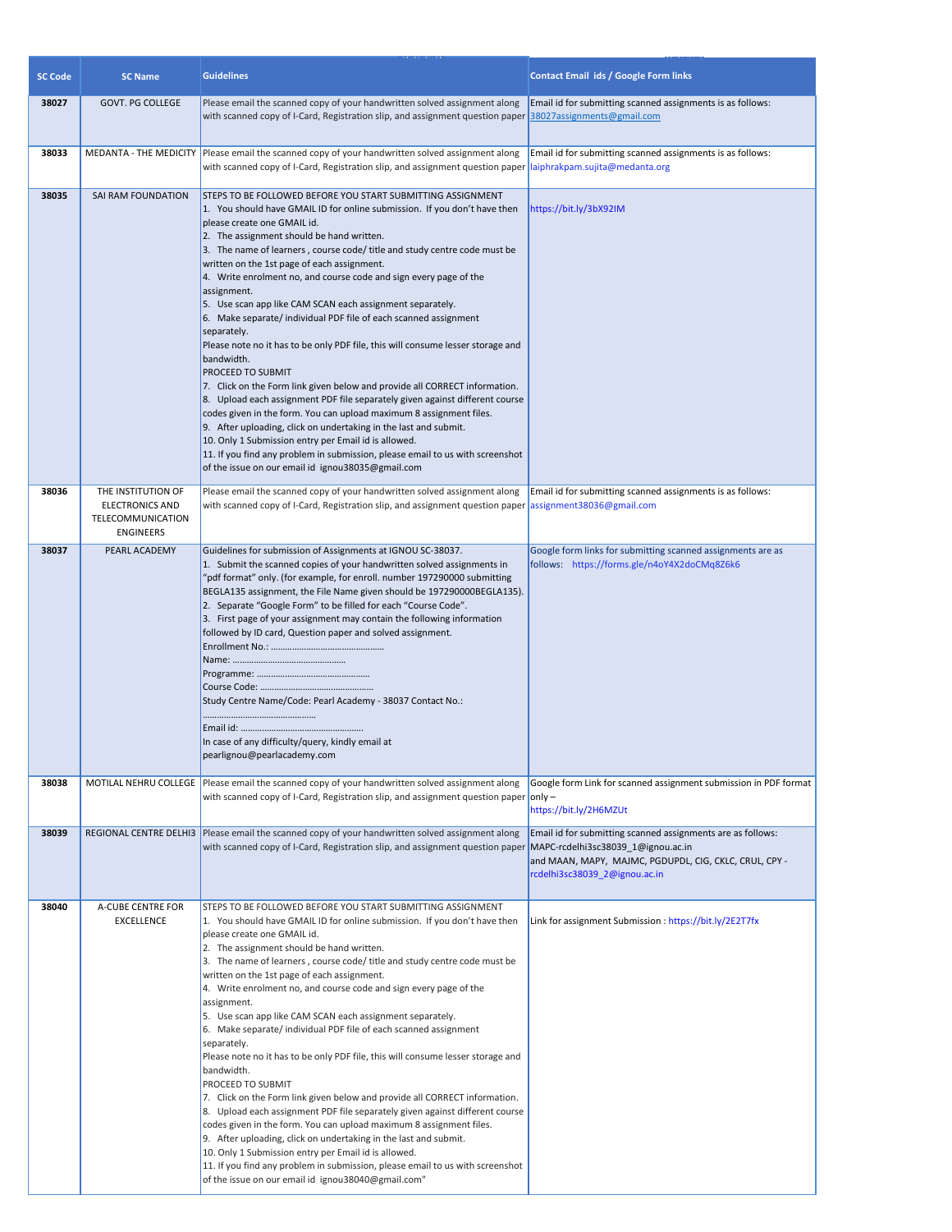| <b>SC Code</b> | <b>Guidelines</b><br><b>SC Name</b>                                                   |                                                                                                                                                                                                                                                                                                                                                                                                                                                                                                                                                                                                                                                                                                                                                                                                                                                                                                                                                                                                                                                                                                                                                                                                                         | Contact Email ids / Google Form links                                                                                                                                                        |  |  |
|----------------|---------------------------------------------------------------------------------------|-------------------------------------------------------------------------------------------------------------------------------------------------------------------------------------------------------------------------------------------------------------------------------------------------------------------------------------------------------------------------------------------------------------------------------------------------------------------------------------------------------------------------------------------------------------------------------------------------------------------------------------------------------------------------------------------------------------------------------------------------------------------------------------------------------------------------------------------------------------------------------------------------------------------------------------------------------------------------------------------------------------------------------------------------------------------------------------------------------------------------------------------------------------------------------------------------------------------------|----------------------------------------------------------------------------------------------------------------------------------------------------------------------------------------------|--|--|
| 38027          | GOVT. PG COLLEGE                                                                      | Please email the scanned copy of your handwritten solved assignment along<br>with scanned copy of I-Card, Registration slip, and assignment question paper                                                                                                                                                                                                                                                                                                                                                                                                                                                                                                                                                                                                                                                                                                                                                                                                                                                                                                                                                                                                                                                              | Email id for submitting scanned assignments is as follows:<br>38027assignments@gmail.com                                                                                                     |  |  |
| 38033          |                                                                                       | MEDANTA - THE MEDICITY   Please email the scanned copy of your handwritten solved assignment along<br>with scanned copy of I-Card, Registration slip, and assignment question paper                                                                                                                                                                                                                                                                                                                                                                                                                                                                                                                                                                                                                                                                                                                                                                                                                                                                                                                                                                                                                                     | Email id for submitting scanned assignments is as follows:<br>laiphrakpam.sujita@medanta.org                                                                                                 |  |  |
| 38035          | SAI RAM FOUNDATION                                                                    | STEPS TO BE FOLLOWED BEFORE YOU START SUBMITTING ASSIGNMENT<br>1. You should have GMAIL ID for online submission. If you don't have then<br>please create one GMAIL id.<br>2. The assignment should be hand written.<br>3. The name of learners, course code/ title and study centre code must be<br>written on the 1st page of each assignment.<br>4. Write enrolment no, and course code and sign every page of the<br>assignment.<br>5. Use scan app like CAM SCAN each assignment separately.<br>6. Make separate/individual PDF file of each scanned assignment<br>separately.<br>Please note no it has to be only PDF file, this will consume lesser storage and<br>bandwidth.<br><b>PROCEED TO SUBMIT</b><br>7. Click on the Form link given below and provide all CORRECT information.<br>8. Upload each assignment PDF file separately given against different course<br>codes given in the form. You can upload maximum 8 assignment files.<br>9. After uploading, click on undertaking in the last and submit.<br>10. Only 1 Submission entry per Email id is allowed.<br>11. If you find any problem in submission, please email to us with screenshot<br>of the issue on our email id ignou38035@gmail.com | https://bit.ly/3bX92IM                                                                                                                                                                       |  |  |
| 38036          | THE INSTITUTION OF<br><b>ELECTRONICS AND</b><br>TELECOMMUNICATION<br><b>ENGINEERS</b> | Please email the scanned copy of your handwritten solved assignment along<br>with scanned copy of I-Card, Registration slip, and assignment question paper                                                                                                                                                                                                                                                                                                                                                                                                                                                                                                                                                                                                                                                                                                                                                                                                                                                                                                                                                                                                                                                              | Email id for submitting scanned assignments is as follows:<br>assignment38036@gmail.com                                                                                                      |  |  |
| 38037          | PEARL ACADEMY                                                                         | Guidelines for submission of Assignments at IGNOU SC-38037.<br>1. Submit the scanned copies of your handwritten solved assignments in<br>"pdf format" only. (for example, for enroll. number 197290000 submitting<br>BEGLA135 assignment, the File Name given should be 197290000BEGLA135).<br>2. Separate "Google Form" to be filled for each "Course Code".<br>3. First page of your assignment may contain the following information<br>followed by ID card, Question paper and solved assignment.<br>Study Centre Name/Code: Pearl Academy - 38037 Contact No.:<br>In case of any difficulty/query, kindly email at<br>pearlignou@pearlacademy.com                                                                                                                                                                                                                                                                                                                                                                                                                                                                                                                                                                  | Google form links for submitting scanned assignments are as<br>follows: https://forms.gle/n4oY4X2doCMq8Z6k6                                                                                  |  |  |
| 38038          |                                                                                       | MOTILAL NEHRU COLLEGE   Please email the scanned copy of your handwritten solved assignment along<br>with scanned copy of I-Card, Registration slip, and assignment question paper                                                                                                                                                                                                                                                                                                                                                                                                                                                                                                                                                                                                                                                                                                                                                                                                                                                                                                                                                                                                                                      | Google form Link for scanned assignment submission in PDF format<br>$ only -$<br>https://bit.ly/2H6MZUt                                                                                      |  |  |
| 38039          |                                                                                       | REGIONAL CENTRE DELHI3   Please email the scanned copy of your handwritten solved assignment along<br>with scanned copy of I-Card, Registration slip, and assignment question paper                                                                                                                                                                                                                                                                                                                                                                                                                                                                                                                                                                                                                                                                                                                                                                                                                                                                                                                                                                                                                                     | Email id for submitting scanned assignments are as follows:<br>MAPC-rcdelhi3sc38039 1@ignou.ac.in<br>and MAAN, MAPY, MAJMC, PGDUPDL, CIG, CKLC, CRUL, CPY -<br>rcdelhi3sc38039_2@ignou.ac.in |  |  |
| 38040          | A-CUBE CENTRE FOR<br>EXCELLENCE                                                       | STEPS TO BE FOLLOWED BEFORE YOU START SUBMITTING ASSIGNMENT<br>1. You should have GMAIL ID for online submission. If you don't have then<br>please create one GMAIL id.<br>2. The assignment should be hand written.<br>3. The name of learners, course code/ title and study centre code must be<br>written on the 1st page of each assignment.<br>4. Write enrolment no, and course code and sign every page of the<br>assignment.<br>5. Use scan app like CAM SCAN each assignment separately.<br>6. Make separate/individual PDF file of each scanned assignment<br>separately.<br>Please note no it has to be only PDF file, this will consume lesser storage and<br>bandwidth.<br>PROCEED TO SUBMIT<br>7. Click on the Form link given below and provide all CORRECT information.<br>8. Upload each assignment PDF file separately given against different course<br>codes given in the form. You can upload maximum 8 assignment files.<br>9. After uploading, click on undertaking in the last and submit.<br>10. Only 1 Submission entry per Email id is allowed.<br>11. If you find any problem in submission, please email to us with screenshot<br>of the issue on our email id ignou38040@gmail.com"       | Link for assignment Submission : https://bit.ly/2E2T7fx                                                                                                                                      |  |  |